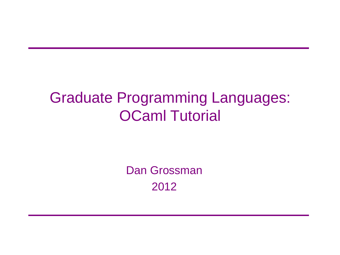#### Graduate Programming Languages: OCaml Tutorial

Dan Grossman 2012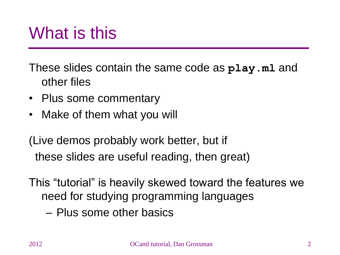#### What is this

These slides contain the same code as **play.ml** and other files

- Plus some commentary
- Make of them what you will

(Live demos probably work better, but if these slides are useful reading, then great)

This "tutorial" is heavily skewed toward the features we need for studying programming languages

– Plus some other basics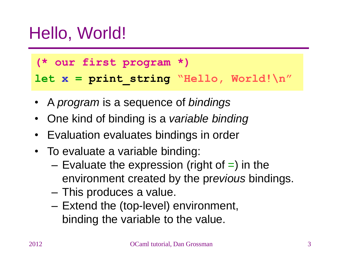#### Hello, World!

**(\* our first program \*)**

let  $x = print string$  "Hello, World! $\n\ln$ "

- A *program* is a sequence of *bindings*
- One kind of binding is a *variable binding*
- Evaluation evaluates bindings in order
- To evaluate a variable binding:
	- $-$  Evaluate the expression (right of  $=$ ) in the environment created by the pr*evious* bindings.
	- This produces a value.
	- Extend the (top-level) environment, binding the variable to the value.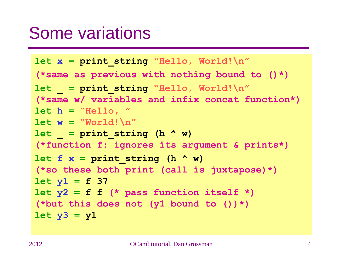#### Some variations

```
let x = print_string "Hello, World!\n"
(*same as previous with nothing bound to ()*)
let = print string "Hello, World!\n\ln"
(*same w/ variables and infix concat function*)
let h = "Hello, "
let w = "World!\n"
let = print string (h < w)(*function f: ignores its argument & prints*)
let f x = \frac{p}{p} print string (h \land w)
(*so these both print (call is juxtapose)*)
let y1 = f 37
let y2 = f f (* pass function itself *)
(*but this does not (y1 bound to ())*)
let y3 = y1
```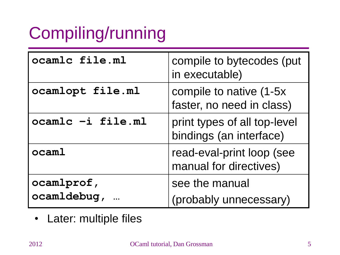# Compiling/running

| ocamlc file.ml            | compile to bytecodes (put<br>in executable)             |
|---------------------------|---------------------------------------------------------|
| ocamlopt file.ml          | compile to native (1-5x)<br>faster, no need in class)   |
| ocamlc -i file.ml         | print types of all top-level<br>bindings (an interface) |
| ocaml                     | read-eval-print loop (see<br>manual for directives)     |
| ocamlprof,<br>ocamldebug, | see the manual<br>(probably unnecessary)                |

• Later: multiple files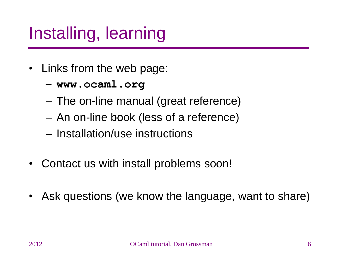## Installing, learning

- Links from the web page:
	- **www.ocaml.org**
	- The on-line manual (great reference)
	- An on-line book (less of a reference)
	- Installation/use instructions
- Contact us with install problems soon!
- Ask questions (we know the language, want to share)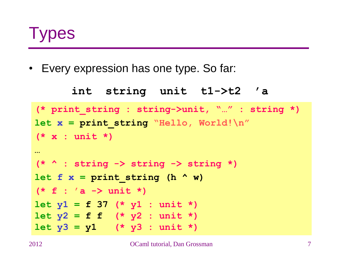

• Every expression has one type. So far:

```
int string unit t1->t2 'a
(* print_string : string->unit, "…" : string *)
let x = print_string "Hello, World!\n"
(* x : unit *)
…
(* ^ : string -> string -> string *)
let f x = \frac{p}{p} \frac{p}{p} \frac{p}{p} \frac{p}{p} \frac{p}{p} \frac{p}{p} \frac{p}{p}(* f : 'a -> unit *)
let y1 = f 37 (* y1 : unit *)
let y2 = f f (* y2 : unit *)let y3 = y1 (* y3 : unit *)
```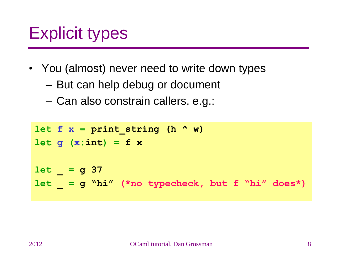## Explicit types

- You (almost) never need to write down types
	- But can help debug or document
	- Can also constrain callers, e.g.:

```
let f x = \frac{p}{p} \frac{p}{p} \frac{p}{p} \frac{p}{p} \frac{p}{p} \frac{p}{p} \frac{p}{p}let g (x:int) = f xlet _ = g 37 
let _ = g "hi" (*no typecheck, but f "hi" does*)
```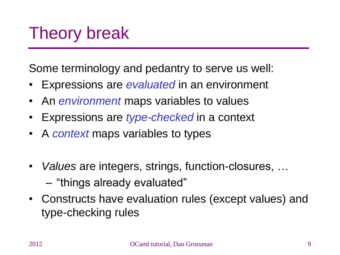## Theory break

Some terminology and pedantry to serve us well:

- Expressions are *evaluated* in an environment
- An *environment* maps variables to values
- Expressions are *type-checked* in a context
- A *context* maps variables to types
- *Values* are integers, strings, function-closures, … – "things already evaluated"
- Constructs have evaluation rules (except values) and type-checking rules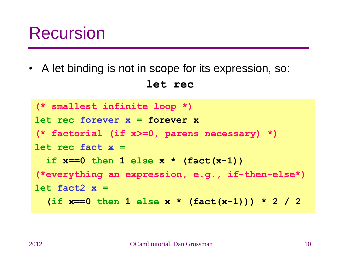#### Recursion

• A let binding is not in scope for its expression, so: **let rec**

```
(* smallest infinite loop *)
let rec forever x = forever x
(* factorial (if x>=0, parens necessary) *)
let rec fact x =
   if x==0 then 1 else x * (fact(x-1))
(*everything an expression, e.g., if-then-else*)
let fact2 x =
   (if x==0 then 1 else x * (fact(x-1))) * 2 / 2
```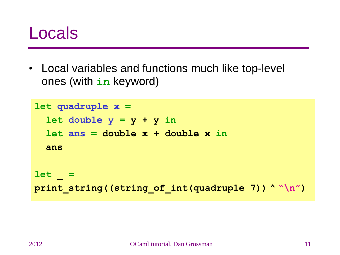#### Locals

• Local variables and functions much like top-level ones (with **in** keyword)

```
let quadruple x =
  let double y = y + y in let ans = double x + double x in
   ans
let _ 
=
print_string((string_of_int(quadruple 7)) ^ "\n")
```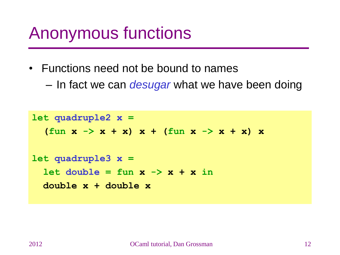## Anonymous functions

- Functions need not be bound to names
	- In fact we can *desugar* what we have been doing

```
let quadruple2 x =
   (fun x -> x + x) x + (fun x -> x + x) x
let quadruple3 x =
  let double = fun x \rightarrow x + x in double x + double x
```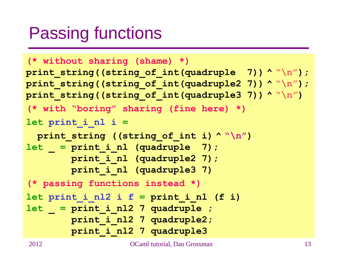## Passing functions

```
(* without sharing (shame) *)
print_string((string_of_int(quadruple 7)) ^ "\n");
print_string((string_of_int(quadruple2 7)) ^ "\n");
print_string((string_of_int(quadruple3 7)) ^ "\n")
(* with "boring" sharing (fine here) *)
let print_i_nl i =
   print_string ((string_of_int i) ^ "\n")
let _ 
= print_i_nl (quadruple 7);
         print_i_nl (quadruple2 7);
         print_i_nl (quadruple3 7)
(* passing functions instead *)
let print i nl2 i f = print i nl (f i)
let _ 
= print_i_nl2 7 quadruple ;
         print_i_nl2 7 quadruple2;
         print_i_nl2 7 quadruple3
```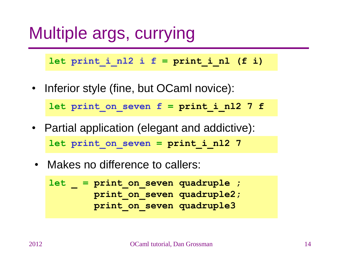## Multiple args, currying

 $let$   $print$   $i$   $n12$   $i$   $f$  =  $print$   $i$   $n1$  (f  $i)$ 

• Inferior style (fine, but OCaml novice):

**let print\_on\_seven f = print\_i\_nl2 7 f**

- Partial application (elegant and addictive): **let print\_on\_seven = print\_i\_nl2 7**
- Makes no difference to callers:

```
let _ 
= print_on_seven quadruple ;
         print_on_seven quadruple2;
         print_on_seven quadruple3
```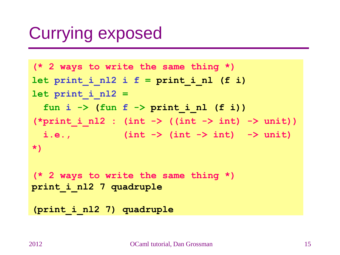## Currying exposed

**(\* 2 ways to write the same thing \*)**  $let$  print i nl2 i f =  $print$  i nl (f i) **let print\_i\_nl2 = fun i -> (fun f -> print\_i\_nl (f i))**  $(\text{*print i nl2 : (int -> (int -> int) -> unit))$  **i.e., (int -> (int -> int) -> unit) \*)**

**(\* 2 ways to write the same thing \*) print\_i\_nl2 7 quadruple**

**(print\_i\_nl2 7) quadruple**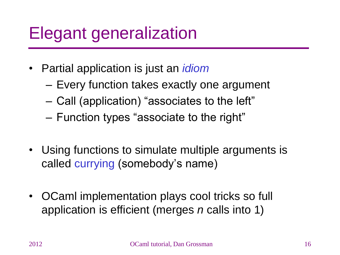## Elegant generalization

- Partial application is just an *idiom* 
	- Every function takes exactly one argument
	- Call (application) "associates to the left"
	- Function types "associate to the right"
- Using functions to simulate multiple arguments is called currying (somebody's name)
- OCaml implementation plays cool tricks so full application is efficient (merges *n* calls into 1)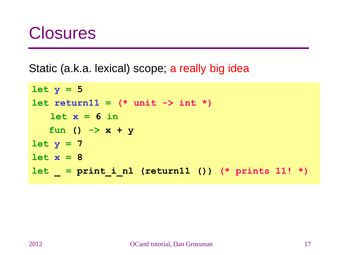#### **Closures**

Static (a.k.a. lexical) scope; a really big idea

```
let y = 5
let return11 = (* unit -> int *)
   let x = 6 in fun () -> x + y
let y = 7
let x = 8
let _ = print_i_nl (return11 ()) (* prints 11! *)
```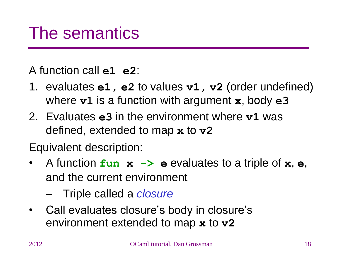A function call **e1 e2**:

- 1. evaluates **e1, e2** to values **v1, v2** (order undefined) where **v1** is a function with argument **x**, body **e3**
- 2. Evaluates **e3** in the environment where **v1** was defined, extended to map **x** to **v2**
- Equivalent description:
- A function **fun x -> e** evaluates to a triple of **x**, **e**, and the current environment
	- Triple called a *closure*
- Call evaluates closure's body in closure's environment extended to map **x** to **v2**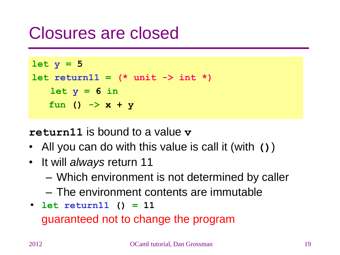#### Closures are closed



**return11** is bound to a value **v**

- All you can do with this value is call it (with **()**)
- It will *always* return 11
	- Which environment is not determined by caller
	- The environment contents are immutable
- **let return11 () = 11**  guaranteed not to change the program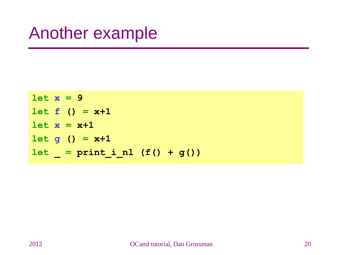#### Another example

**let x = 9**  $let f() = x+1$  $let x = x+1$  $let$  **g** () =  $x+1$  $let$  =  $print_i_nl$  (f() +  $g()$ )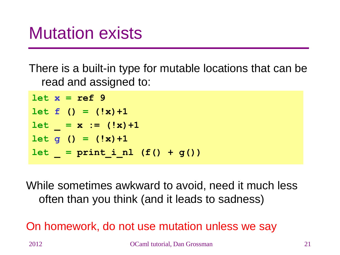## Mutation exists

There is a built-in type for mutable locations that can be read and assigned to:

**let x = ref 9**  $let f() = (!x)+1$  $let = x := (!x)+1$  $let q() = (!x)+1$  $let = print inl (f() + g())$ 

While sometimes awkward to avoid, need it much less often than you think (and it leads to sadness)

On homework, do not use mutation unless we say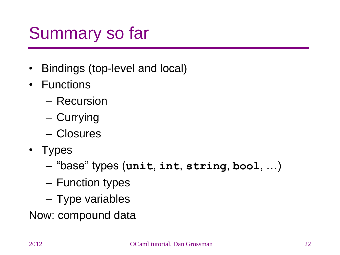# Summary so far

- Bindings (top-level and local)
- Functions
	- Recursion
	- Currying
	- Closures
- Types
	- "base" types (**unit**, **int**, **string**, **bool**, …)
	- Function types
	- Type variables
- Now: compound data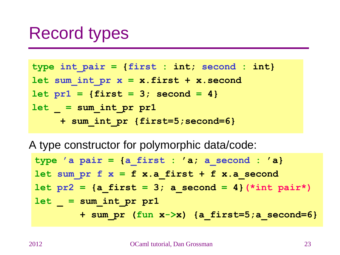#### Record types

**type int\_pair = {first : int; second : int} let sum\_int\_pr x = x.first + x.second let pr1 = {first = 3; second = 4} let \_ = sum\_int\_pr pr1 + sum\_int\_pr {first=5;second=6}**

A type constructor for polymorphic data/code:

**type 'a pair = {a\_first : 'a; a\_second : 'a}** let  $sum p r f x = f x.a$  first + f x.a second  $let\ px2 = {a\text{ first}} = 3; a\ second = 4}(*int\ pair*)$ **let \_ = sum\_int\_pr pr1 + sum\_pr (fun x->x) {a\_first=5;a\_second=6}**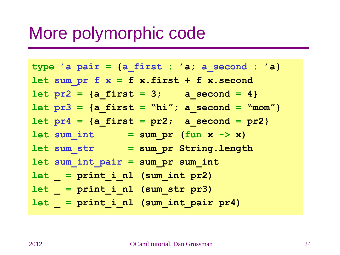#### More polymorphic code

**type 'a pair = {a\_first : 'a; a\_second : 'a} let sum\_pr f x = f x.first + f x.second let pr2 = {a\_first = 3; a\_second = 4} let pr3 = {a\_first = "hi"; a\_second = "mom"} let pr4 = {a\_first = pr2; a\_second = pr2} let sum\_int = sum\_pr (fun x -> x) let sum\_str = sum\_pr String.length let sum\_int\_pair = sum\_pr sum\_int let \_ = print\_i\_nl (sum\_int pr2) let \_ = print\_i\_nl (sum\_str pr3) let \_ = print\_i\_nl (sum\_int\_pair pr4)**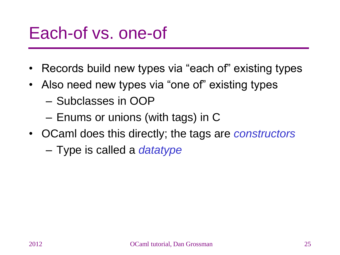#### Each-of vs. one-of

- Records build new types via "each of" existing types
- Also need new types via "one of" existing types
	- Subclasses in OOP
	- Enums or unions (with tags) in C
- OCaml does this directly; the tags are *constructors*
	- Type is called a *datatype*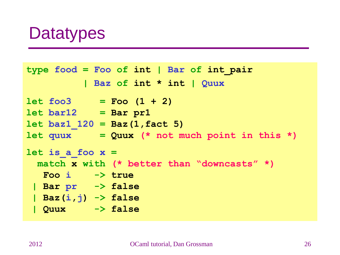#### **Datatypes**

```
type food = Foo of int | Bar of int_pair 
           | Baz of int * int | Quux
let foo3 = Foo (1 + 2)let bar12 = Bar pr1
let baz1_120 = Baz(1,fact 5)
let quux = Quux (* not much point in this *)
let is_a_foo x =
  match x with (* better than "downcasts" *)
   Foo i -> true
 | Bar pr -> false
 | Baz(i,j) -> false
 | Quux -> false
```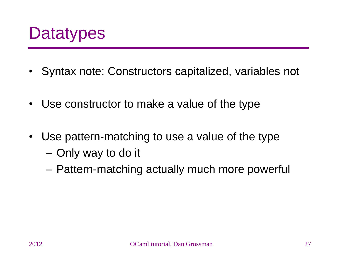

- Syntax note: Constructors capitalized, variables not
- Use constructor to make a value of the type
- Use pattern-matching to use a value of the type
	- Only way to do it
	- Pattern-matching actually much more powerful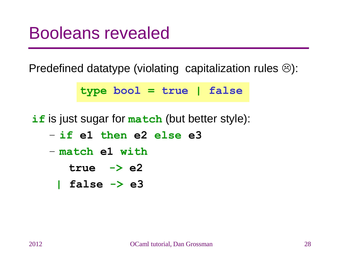#### Booleans revealed

Predefined datatype (violating capitalization rules  $\circledcirc$ ):

**type bool = true | false**

**if** is just sugar for **match** (but better style):

- **if e1 then e2 else e3**
- **match e1 with**
	- **true -> e2**
	- **| false -> e3**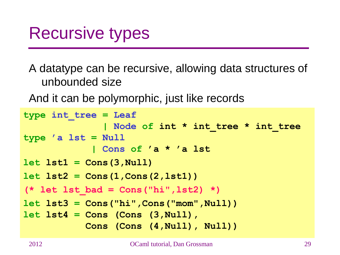#### Recursive types

A datatype can be recursive, allowing data structures of unbounded size

And it can be polymorphic, just like records

```
type int_tree = Leaf
                | Node of int * int_tree * int_tree
type 'a lst = Null
             | Cons of 'a * 'a lst
let lst1 = Cons(3,Null)
let lst2 = Cons(1,Cons(2,lst1))
(* let lst_bad = Cons("hi",lst2) *)
let lst3 = Cons("hi",Cons("mom",Null))
let lst4 = Cons (Cons (3,Null), 
            Cons (Cons (4,Null), Null))
```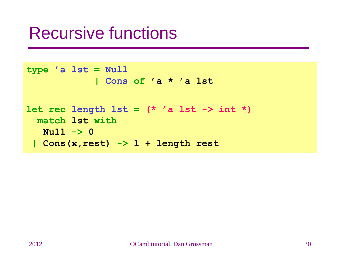#### Recursive functions

```
type 'a lst = Null
             | Cons of 'a * 'a lst
let rec length 1st = (* 'a 1st -> int *) match lst with
   Null -> 0
 | Cons(x,rest) -> 1 + length rest
```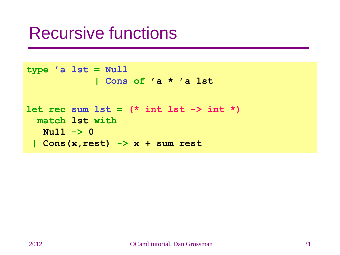#### Recursive functions

```
type 'a lst = Null
             | Cons of 'a * 'a lst
let rec sum 1st = (* int 1st -> int *) match lst with
   Null -> 0
 | Cons(x,rest) -> x + sum rest
```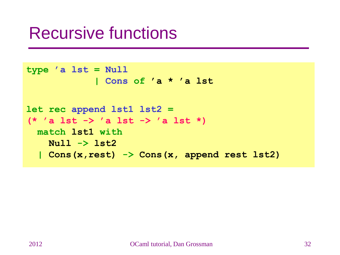#### Recursive functions

```
type 'a lst = Null
             | Cons of 'a * 'a lst
let rec append lst1 lst2 = 
(* 'a lst -> 'a lst -> 'a lst *)
  match lst1 with
    Null -> lst2
   | Cons(x,rest) -> Cons(x, append rest lst2)
```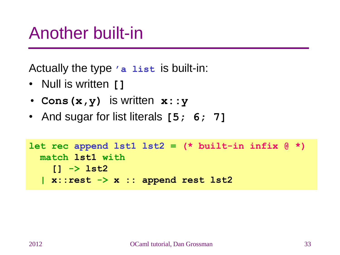#### Another built-in

Actually the type **'a list** is built-in:

- Null is written **[]**
- **Cons(x,y)** is written **x::y**
- And sugar for list literals **[5; 6; 7]**

```
let rec append lst1 lst2 = (* built-in infix @ *)
  match lst1 with
     [] -> lst2
   | x::rest -> x :: append rest lst2
```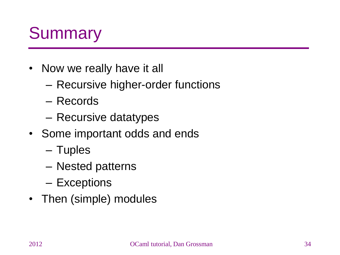## **Summary**

- Now we really have it all
	- Recursive higher-order functions
	- Records
	- Recursive datatypes
- Some important odds and ends
	- Tuples
	- Nested patterns
	- Exceptions
- Then (simple) modules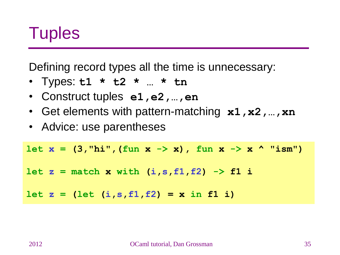

Defining record types all the time is unnecessary:

- Types: **t1 \* t2 \* … \* tn**
- Construct tuples **e1,e2,…,en**
- Get elements with pattern-matching **x1, x2, …, xn**
- Advice: use parentheses

let  $x = (3, "hi", (fun x -> x), fun x -> x' "ism")$  $let z = match x with (i, s, f1, f2) \rightarrow f1 i$  $let z = (let (i, s, f1, f2) = x in f1 i)$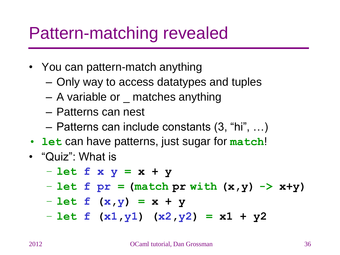#### Pattern-matching revealed

- You can pattern-match anything
	- Only way to access datatypes and tuples
	- A variable or \_ matches anything
	- Patterns can nest
	- Patterns can include constants (3, "hi", …)
- **let** can have patterns, just sugar for **match**!
- "Quiz": What is
	- **let f x y = x + y**
	- **let f pr = (match pr with (x,y) -> x+y)**
	- **let f (x,y) = x + y**
	- **let f (x1,y1) (x2,y2) = x1 + y2**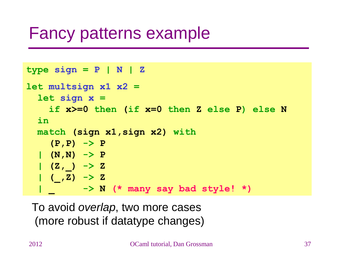#### Fancy patterns example

```
type sign = P | N | Zlet multsign x1 x2 = 
   let sign x = 
     if x>=0 then (if x=0 then Z else P) else N
   in
  match (sign x1,sign x2) with
     (P,P) -> P
   | (N,N) -> P
  | (Z, ) \rightarrow Z | (_,Z) -> Z
           | _ -> N (* many say bad style! *)
```
To avoid *overlap*, two more cases (more robust if datatype changes)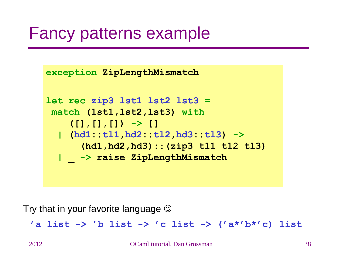#### Fancy patterns example

```
exception ZipLengthMismatch
let rec zip3 lst1 lst2 lst3 = 
match (lst1,lst2,lst3) with
     ([],[],[]) -> []
   | (hd1::tl1,hd2::tl2,hd3::tl3) ->
      (hd1,hd2,hd3)::(zip3 tl1 tl2 tl3)
   | _ -> raise ZipLengthMismatch
```
Try that in your favorite language  $\odot$ 

**'a list -> 'b list -> 'c list -> ('a\*'b\*'c) list**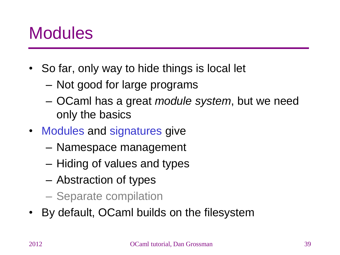### **Modules**

- So far, only way to hide things is local let
	- Not good for large programs
	- OCaml has a great *module system*, but we need only the basics
- Modules and signatures give
	- Namespace management
	- Hiding of values and types
	- Abstraction of types
	- Separate compilation
- By default, OCaml builds on the filesystem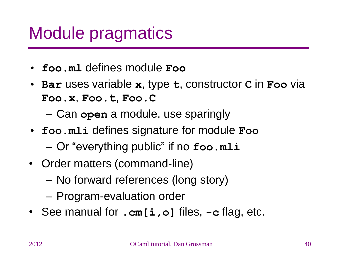## Module pragmatics

- **foo.ml** defines module **Foo**
- **Bar** uses variable **x**, type **t**, constructor **C** in **Foo** via **Foo.x**, **Foo.t**, **Foo.C**

– Can **open** a module, use sparingly

- **foo.mli** defines signature for module **Foo**
	- Or "everything public" if no **foo.mli**
- Order matters (command-line)
	- No forward references (long story)
	- Program-evaluation order
- See manual for **.cm[i,o]** files, **-c** flag, etc.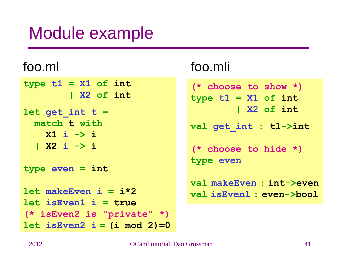## Module example

**type t1 = X1 of int | X2 of int let get\_int t = match t with X1 i -> i | X2 i -> i type even = int**  $let$  makeEven  $i = i*2$ **let isEven1 i = true (\* isEven2 is "private" \*)**  $let$  isEven2  $i = (i \mod 2) = 0$ 

#### foo.ml foo.mli

**(\* choose to show \*) type t1 = X1 of int | X2 of int val get\_int : t1->int (\* choose to hide \*) type even val makeEven : int->even val isEven1 : even->bool**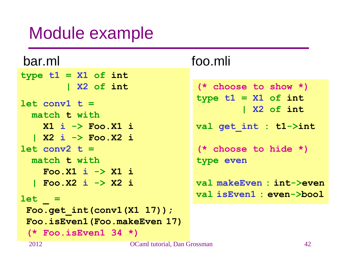### Module example

| bar.ml                          | foo.mli                              |
|---------------------------------|--------------------------------------|
| type $t1 = X1$ of $int$         |                                      |
| X2 of int                       | $(*$ choose to show $*)$             |
| $let conv1 t =$<br>match t with | type $t1 = X1$ of int<br>  X2 of int |
| $X1$ i $\rightarrow$ Foo. X1 i  | val get int : t1->int                |
| X2 i -> Foo.X2 i                |                                      |
| $let conv2 t =$                 | $(*$ choose to hide $*)$             |
| match t with                    | type even                            |
| Foo. X1 $i \rightarrow XI$ i    |                                      |
| Foo.X2 i -> X2 i                | val makeEven : int->even             |
| $let =$                         | val isEven1 : even->bool             |
| Foo.get $int(cony1(X1 17))$ ;   |                                      |
| Foo.isEven1 (Foo.makeEven 17)   |                                      |
| $(*$ Foo.is Even $1 \ 34 \ *)$  |                                      |
| $\bigcap_{n=1}^{\infty}$        |                                      |